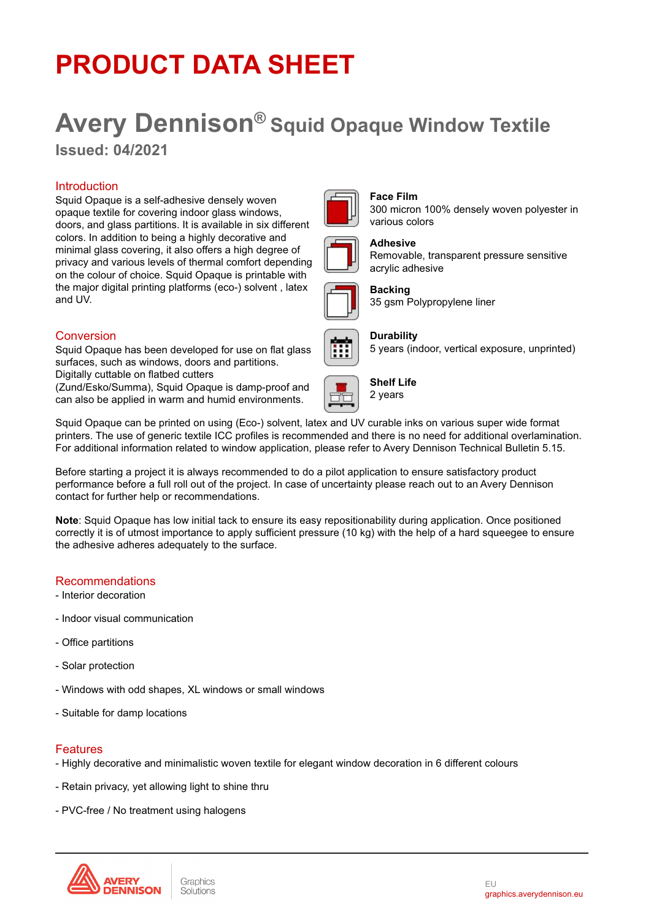## **PRODUCT DATA SHEET**

# **Avery Dennison® Squid Opaque Window Textile**

**Issued: 04/2021**

## **Introduction**

Squid Opaque is a self-adhesive densely woven opaque textile for covering indoor glass windows, doors, and glass partitions. It is available in six different colors. In addition to being a highly decorative and minimal glass covering, it also offers a high degree of privacy and various levels of thermal comfort depending on the colour of choice. Squid Opaque is printable with the major digital printing platforms (eco-) solvent , latex and UV.

### Conversion

Squid Opaque has been developed for use on flat glass surfaces, such as windows, doors and partitions.

Digitally cuttable on flatbed cutters

(Zund/Esko/Summa), Squid Opaque is damp-proof and can also be applied in warm and humid environments.

Squid Opaque can be printed on using (Eco-) solvent, latex and UV curable inks on various super wide format printers. The use of generic textile ICC profiles is recommended and there is no need for additional overlamination. For additional information related to window application, please refer to Avery Dennison Technical Bulletin 5.15.

Before starting a project it is always recommended to do a pilot application to ensure satisfactory product performance before a full roll out of the project. In case of uncertainty please reach out to an Avery Dennison contact for further help or recommendations.

**Note**: Squid Opaque has low initial tack to ensure its easy repositionability during application. Once positioned correctly it is of utmost importance to apply sufficient pressure (10 kg) with the help of a hard squeegee to ensure the adhesive adheres adequately to the surface.

## Recommendations

- Interior decoration
- Indoor visual communication
- Office partitions
- Solar protection
- Windows with odd shapes, XL windows or small windows
- Suitable for damp locations

#### Features

- Highly decorative and minimalistic woven textile for elegant window decoration in 6 different colours
- Retain privacy, yet allowing light to shine thru
- PVC-free / No treatment using halogens





## **Face Film**

300 micron 100% densely woven polyester in various colors



#### **Adhesive**

Removable, transparent pressure sensitive acrylic adhesive



#### **Backing**

35 gsm Polypropylene liner



#### **Durability**

5 years (indoor, vertical exposure, unprinted)



**Shelf Life**



EU graphics.averydennison.eu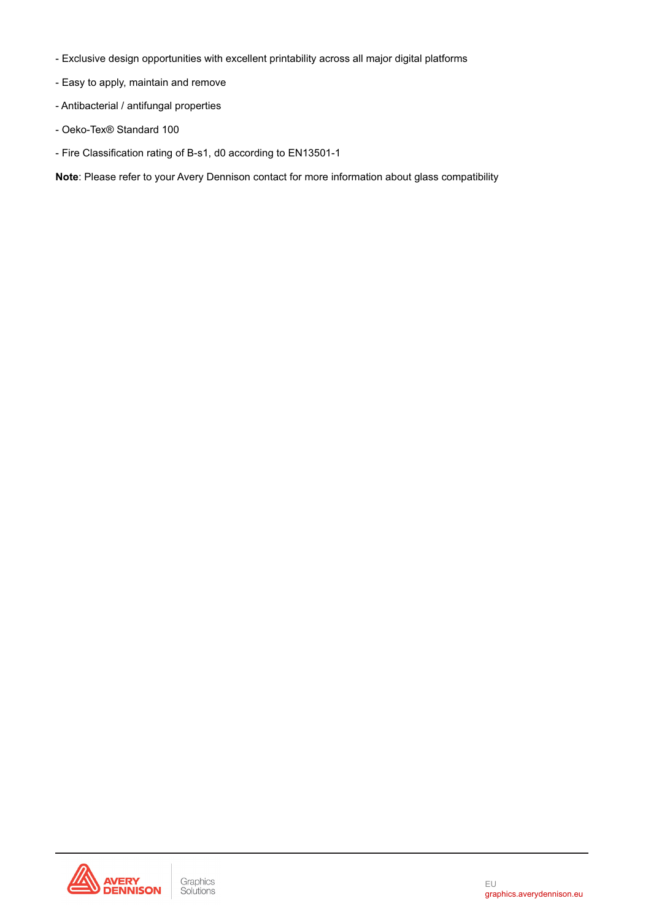- Exclusive design opportunities with excellent printability across all major digital platforms
- Easy to apply, maintain and remove
- Antibacterial / antifungal properties
- Oeko-Tex® Standard 100
- Fire Classification rating of B-s1, d0 according to EN13501-1

**Note**: Please refer to your Avery Dennison contact for more information about glass compatibility

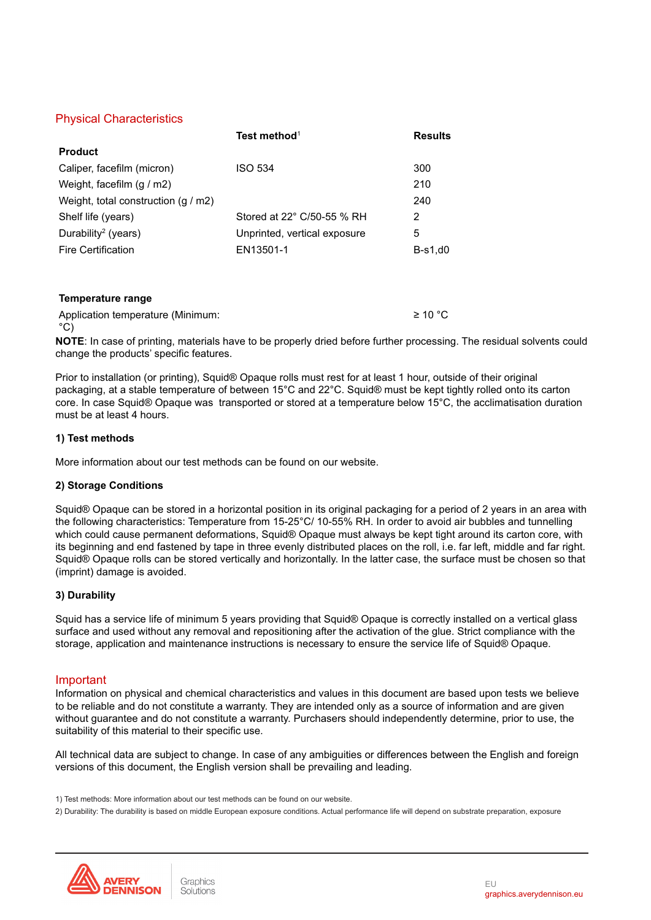## Physical Characteristics

|                                     | Test method <sup>1</sup>     | Results   |
|-------------------------------------|------------------------------|-----------|
| <b>Product</b>                      |                              |           |
| Caliper, facefilm (micron)          | <b>ISO 534</b>               | 300       |
| Weight, facefilm $(g/m2)$           |                              | 210       |
| Weight, total construction $(g/m2)$ |                              | 240       |
| Shelf life (years)                  | Stored at 22° C/50-55 % RH   | 2         |
| Durability <sup>2</sup> (years)     | Unprinted, vertical exposure | 5         |
| <b>Fire Certification</b>           | EN13501-1                    | $B-s1,d0$ |

#### **Temperature range**

Application temperature (Minimum:  $^{\circ}$ C) ≥ 10 °C

**NOTE**: In case of printing, materials have to be properly dried before further processing. The residual solvents could change the products' specific features.

Prior to installation (or printing), Squid® Opaque rolls must rest for at least 1 hour, outside of their original packaging, at a stable temperature of between 15°C and 22°C. Squid® must be kept tightly rolled onto its carton core. In case Squid® Opaque was transported or stored at a temperature below 15°C, the acclimatisation duration must be at least 4 hours.

#### **1) Test methods**

More information about our test methods can be found on our website.

#### **2) Storage Conditions**

Squid® Opaque can be stored in a horizontal position in its original packaging for a period of 2 years in an area with the following characteristics: Temperature from 15-25°C/ 10-55% RH. In order to avoid air bubbles and tunnelling which could cause permanent deformations, Squid® Opaque must always be kept tight around its carton core, with its beginning and end fastened by tape in three evenly distributed places on the roll, i.e. far left, middle and far right. Squid® Opaque rolls can be stored vertically and horizontally. In the latter case, the surface must be chosen so that (imprint) damage is avoided.

#### **3) Durability**

Squid has a service life of minimum 5 years providing that Squid® Opaque is correctly installed on a vertical glass surface and used without any removal and repositioning after the activation of the glue. Strict compliance with the storage, application and maintenance instructions is necessary to ensure the service life of Squid® Opaque.

#### Important

Information on physical and chemical characteristics and values in this document are based upon tests we believe to be reliable and do not constitute a warranty. They are intended only as a source of information and are given without guarantee and do not constitute a warranty. Purchasers should independently determine, prior to use, the suitability of this material to their specific use.

All technical data are subject to change. In case of any ambiguities or differences between the English and foreign versions of this document, the English version shall be prevailing and leading.

2) Durability: The durability is based on middle European exposure conditions. Actual performance life will depend on substrate preparation, exposure



<sup>1)</sup> Test methods: More information about our test methods can be found on our website.